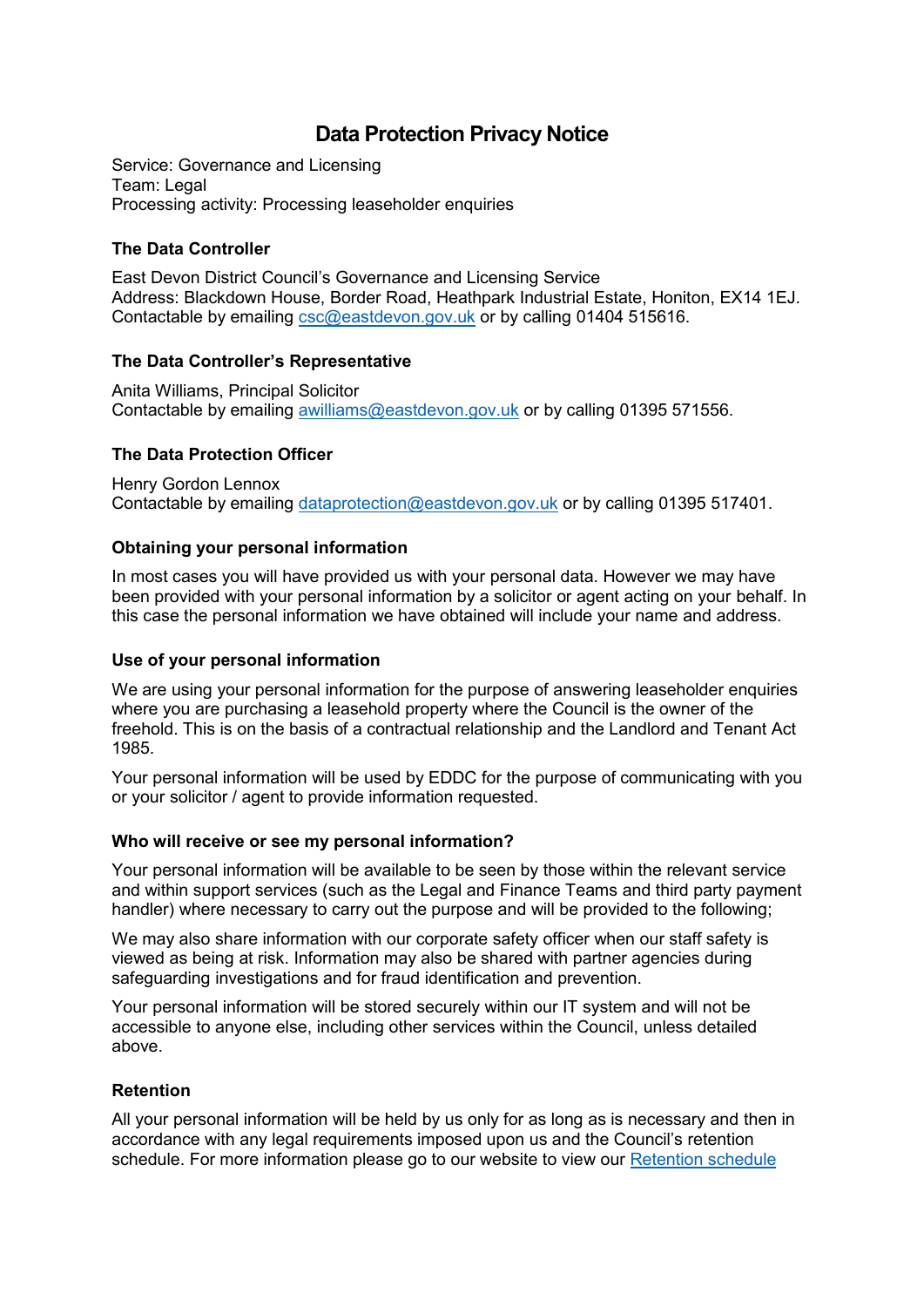# **Data Protection Privacy Notice**

Service: Governance and Licensing Team: Legal Processing activity: Processing leaseholder enquiries

## **The Data Controller**

East Devon District Council's Governance and Licensing Service Address: Blackdown House, Border Road, Heathpark Industrial Estate, Honiton, EX14 1EJ. Contactable by emailing [csc@eastdevon.gov.uk](mailto:csc@eastdevon.gov.uk) or by calling 01404 515616.

## **The Data Controller's Representative**

Anita Williams, Principal Solicitor Contactable by emailing [awilliams@eastdevon.gov.uk](mailto:awilliams@eastdevon.gov.uk) or by calling 01395 571556.

## **The Data Protection Officer**

Henry Gordon Lennox Contactable by emailing [dataprotection@eastdevon.gov.uk](mailto:dataprotection@eastdevon.gov.uk) or by calling 01395 517401.

## **Obtaining your personal information**

In most cases you will have provided us with your personal data. However we may have been provided with your personal information by a solicitor or agent acting on your behalf. In this case the personal information we have obtained will include your name and address.

#### **Use of your personal information**

We are using your personal information for the purpose of answering leaseholder enquiries where you are purchasing a leasehold property where the Council is the owner of the freehold. This is on the basis of a contractual relationship and the Landlord and Tenant Act 1985.

Your personal information will be used by EDDC for the purpose of communicating with you or your solicitor / agent to provide information requested.

#### **Who will receive or see my personal information?**

Your personal information will be available to be seen by those within the relevant service and within support services (such as the Legal and Finance Teams and third party payment handler) where necessary to carry out the purpose and will be provided to the following;

We may also share information with our corporate safety officer when our staff safety is viewed as being at risk. Information may also be shared with partner agencies during safeguarding investigations and for fraud identification and prevention.

Your personal information will be stored securely within our IT system and will not be accessible to anyone else, including other services within the Council, unless detailed above.

#### **Retention**

All your personal information will be held by us only for as long as is necessary and then in accordance with any legal requirements imposed upon us and the Council's retention schedule. For more information please go to our website to view our [Retention schedule](http://eastdevon.gov.uk/access-to-information/data-protection/document-retention-schedules/)